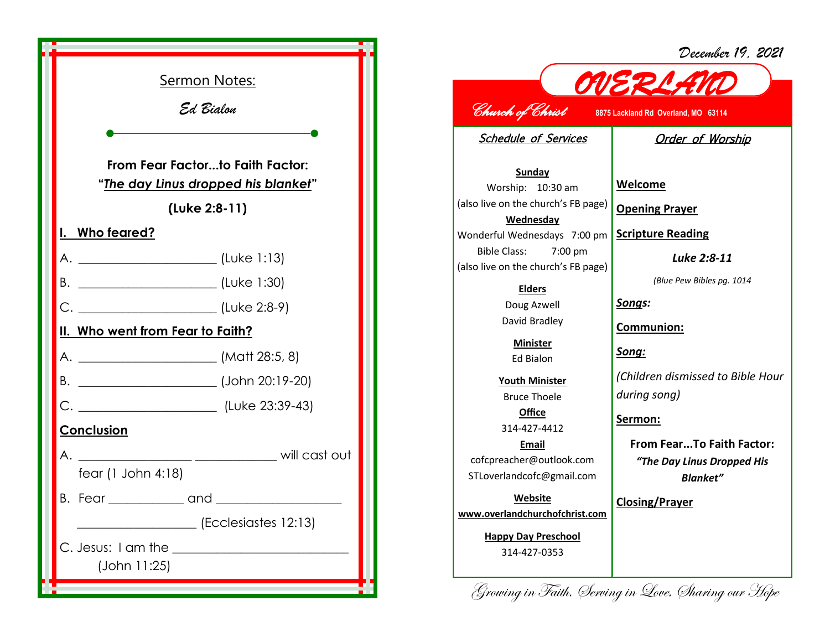| December 19, 2021 |  |  |
|-------------------|--|--|
|-------------------|--|--|



*OVERLAND Church of Christ* **8875 Lackland Rd Overland, MO 63114**  Schedule of Services **Sunday** Worship: 10:30 am (also live on the church's FB page) **Wednesday** Wonderful Wednesdays 7:00 pm Bible Class: 7:00 pm (also live on the church's FB page) **Elders** Doug Azwell David Bradley **Minister** Ed Bialon **Youth Minister** Bruce Thoele **Office** 314-427-4412 **Email** cofcpreacher@outlook.com STLoverlandcofc@gmail.com **Website www.overlandchurchofchrist.com** Order of Worship **Welcome Opening Prayer Scripture Reading** *Luke 2:8-11 (Blue Pew Bibles pg. 1014 Songs:* **Communion:** *Song: (Children dismissed to Bible Hour during song)* **Sermon: From Fear...To Faith Factor:**  *"The Day Linus Dropped His Blanket"* **Closing/Prayer**

Growing in Faith, Serving in Love, Sharing our Hope

**Happy Day Preschool** 314-427-0353